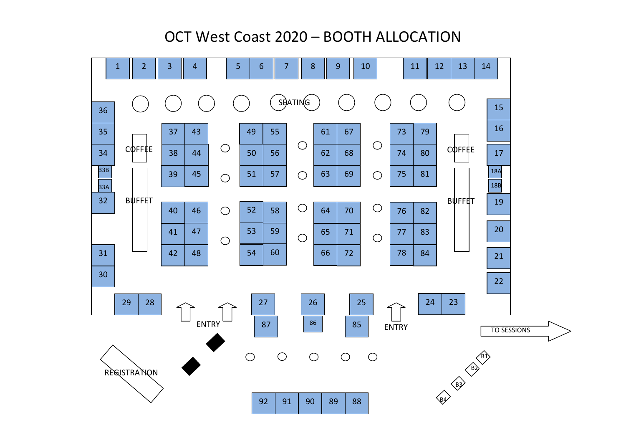## OCT West Coast 2020 – BOOTH ALLOCATION